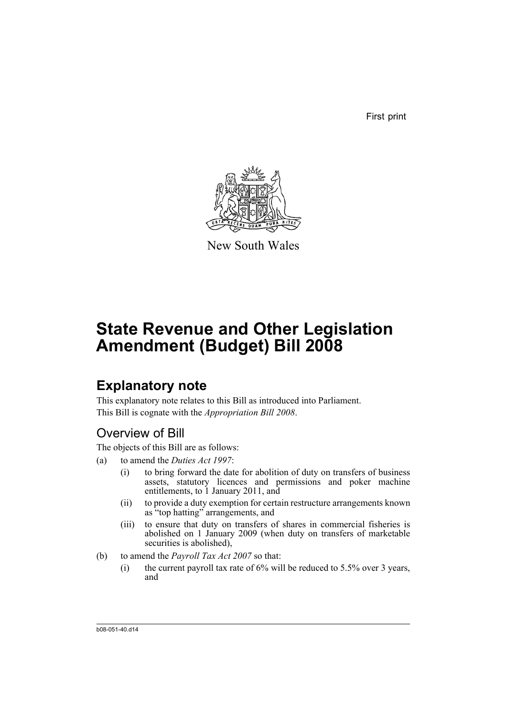First print



New South Wales

# **State Revenue and Other Legislation Amendment (Budget) Bill 2008**

# **Explanatory note**

This explanatory note relates to this Bill as introduced into Parliament. This Bill is cognate with the *Appropriation Bill 2008*.

# Overview of Bill

The objects of this Bill are as follows:

- (a) to amend the *Duties Act 1997*:
	- (i) to bring forward the date for abolition of duty on transfers of business assets, statutory licences and permissions and poker machine entitlements, to 1 January 2011, and
	- (ii) to provide a duty exemption for certain restructure arrangements known as "top hatting" arrangements, and
	- (iii) to ensure that duty on transfers of shares in commercial fisheries is abolished on 1 January 2009 (when duty on transfers of marketable securities is abolished),
- (b) to amend the *Payroll Tax Act 2007* so that:
	- (i) the current payroll tax rate of  $6\%$  will be reduced to  $5.5\%$  over 3 years, and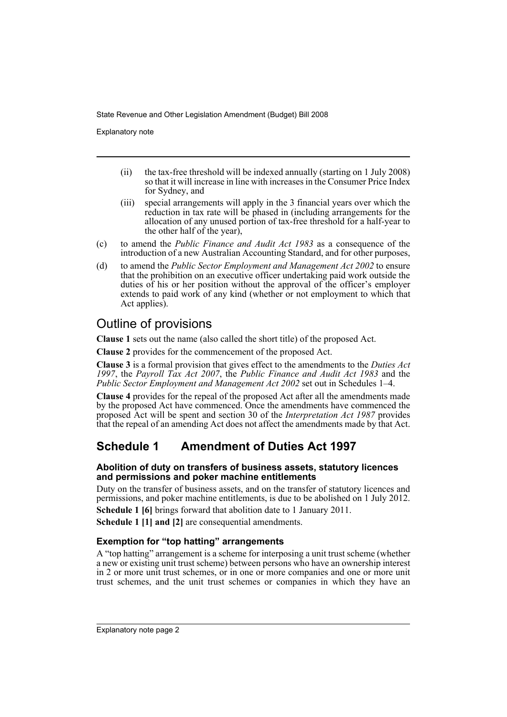Explanatory note

- (ii) the tax-free threshold will be indexed annually (starting on 1 July 2008) so that it will increase in line with increases in the Consumer Price Index for Sydney, and
- (iii) special arrangements will apply in the 3 financial years over which the reduction in tax rate will be phased in (including arrangements for the allocation of any unused portion of tax-free threshold for a half-year to the other half of the year),
- (c) to amend the *Public Finance and Audit Act 1983* as a consequence of the introduction of a new Australian Accounting Standard, and for other purposes,
- (d) to amend the *Public Sector Employment and Management Act 2002* to ensure that the prohibition on an executive officer undertaking paid work outside the duties of his or her position without the approval of the officer's employer extends to paid work of any kind (whether or not employment to which that Act applies).

# Outline of provisions

**Clause 1** sets out the name (also called the short title) of the proposed Act.

**Clause 2** provides for the commencement of the proposed Act.

**Clause 3** is a formal provision that gives effect to the amendments to the *Duties Act 1997*, the *Payroll Tax Act 2007*, the *Public Finance and Audit Act 1983* and the *Public Sector Employment and Management Act 2002* set out in Schedules 1–4.

**Clause 4** provides for the repeal of the proposed Act after all the amendments made by the proposed Act have commenced. Once the amendments have commenced the proposed Act will be spent and section 30 of the *Interpretation Act 1987* provides that the repeal of an amending Act does not affect the amendments made by that Act.

# **Schedule 1 Amendment of Duties Act 1997**

### **Abolition of duty on transfers of business assets, statutory licences and permissions and poker machine entitlements**

Duty on the transfer of business assets, and on the transfer of statutory licences and permissions, and poker machine entitlements, is due to be abolished on 1 July 2012.

**Schedule 1 [6]** brings forward that abolition date to 1 January 2011.

**Schedule 1 [1] and [2]** are consequential amendments.

### **Exemption for "top hatting" arrangements**

A "top hatting" arrangement is a scheme for interposing a unit trust scheme (whether a new or existing unit trust scheme) between persons who have an ownership interest in 2 or more unit trust schemes, or in one or more companies and one or more unit trust schemes, and the unit trust schemes or companies in which they have an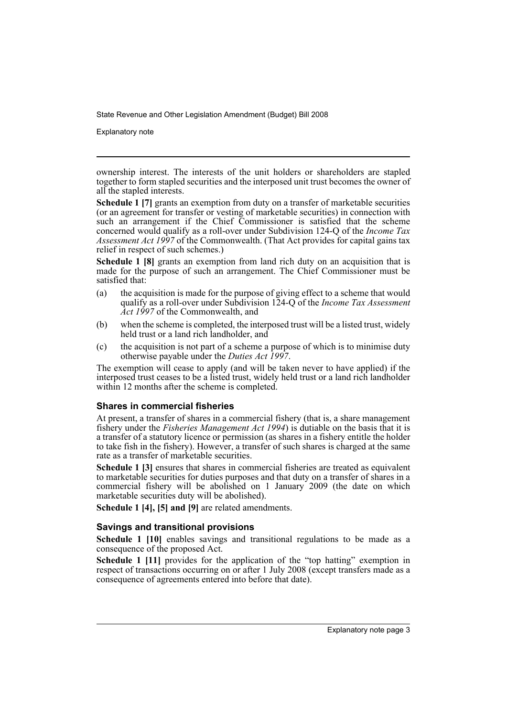Explanatory note

ownership interest. The interests of the unit holders or shareholders are stapled together to form stapled securities and the interposed unit trust becomes the owner of all the stapled interests.

**Schedule 1 [7]** grants an exemption from duty on a transfer of marketable securities (or an agreement for transfer or vesting of marketable securities) in connection with such an arrangement if the Chief Commissioner is satisfied that the scheme concerned would qualify as a roll-over under Subdivision 124-Q of the *Income Tax Assessment Act 1997* of the Commonwealth. (That Act provides for capital gains tax relief in respect of such schemes.)

**Schedule 1 [8]** grants an exemption from land rich duty on an acquisition that is made for the purpose of such an arrangement. The Chief Commissioner must be satisfied that:

- (a) the acquisition is made for the purpose of giving effect to a scheme that would qualify as a roll-over under Subdivision 124-Q of the *Income Tax Assessment Act 1997* of the Commonwealth, and
- (b) when the scheme is completed, the interposed trust will be a listed trust, widely held trust or a land rich landholder, and
- (c) the acquisition is not part of a scheme a purpose of which is to minimise duty otherwise payable under the *Duties Act 1997*.

The exemption will cease to apply (and will be taken never to have applied) if the interposed trust ceases to be a listed trust, widely held trust or a land rich landholder within 12 months after the scheme is completed.

### **Shares in commercial fisheries**

At present, a transfer of shares in a commercial fishery (that is, a share management fishery under the *Fisheries Management Act 1994*) is dutiable on the basis that it is a transfer of a statutory licence or permission (as shares in a fishery entitle the holder to take fish in the fishery). However, a transfer of such shares is charged at the same rate as a transfer of marketable securities.

**Schedule 1 [3]** ensures that shares in commercial fisheries are treated as equivalent to marketable securities for duties purposes and that duty on a transfer of shares in a commercial fishery will be abolished on 1 January 2009 (the date on which marketable securities duty will be abolished).

**Schedule 1 [4], [5] and [9]** are related amendments.

### **Savings and transitional provisions**

**Schedule 1 [10]** enables savings and transitional regulations to be made as a consequence of the proposed Act.

**Schedule 1 [11]** provides for the application of the "top hatting" exemption in respect of transactions occurring on or after 1 July 2008 (except transfers made as a consequence of agreements entered into before that date).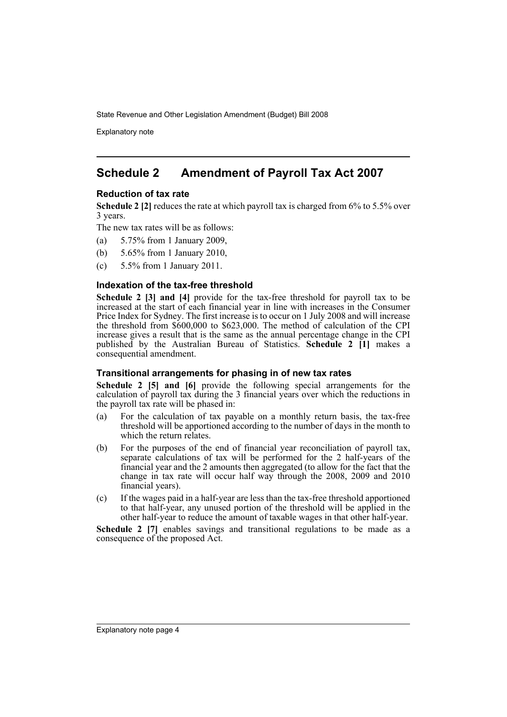Explanatory note

## **Schedule 2 Amendment of Payroll Tax Act 2007**

### **Reduction of tax rate**

**Schedule 2 [2]** reduces the rate at which payroll tax is charged from 6% to 5.5% over 3 years.

The new tax rates will be as follows:

- (a) 5.75% from 1 January 2009,
- (b) 5.65% from 1 January 2010,
- (c) 5.5% from 1 January 2011.

#### **Indexation of the tax-free threshold**

**Schedule 2 [3] and [4]** provide for the tax-free threshold for payroll tax to be increased at the start of each financial year in line with increases in the Consumer Price Index for Sydney. The first increase is to occur on 1 July 2008 and will increase the threshold from \$600,000 to \$623,000. The method of calculation of the CPI increase gives a result that is the same as the annual percentage change in the CPI published by the Australian Bureau of Statistics. **Schedule 2 [1]** makes a consequential amendment.

### **Transitional arrangements for phasing in of new tax rates**

**Schedule 2 [5] and [6]** provide the following special arrangements for the calculation of payroll tax during the 3 financial years over which the reductions in the payroll tax rate will be phased in:

- (a) For the calculation of tax payable on a monthly return basis, the tax-free threshold will be apportioned according to the number of days in the month to which the return relates.
- (b) For the purposes of the end of financial year reconciliation of payroll tax, separate calculations of tax will be performed for the 2 half-years of the financial year and the 2 amounts then aggregated (to allow for the fact that the change in tax rate will occur half way through the 2008, 2009 and 2010 financial years).
- (c) If the wages paid in a half-year are less than the tax-free threshold apportioned to that half-year, any unused portion of the threshold will be applied in the other half-year to reduce the amount of taxable wages in that other half-year.

**Schedule 2 [7]** enables savings and transitional regulations to be made as a consequence of the proposed Act.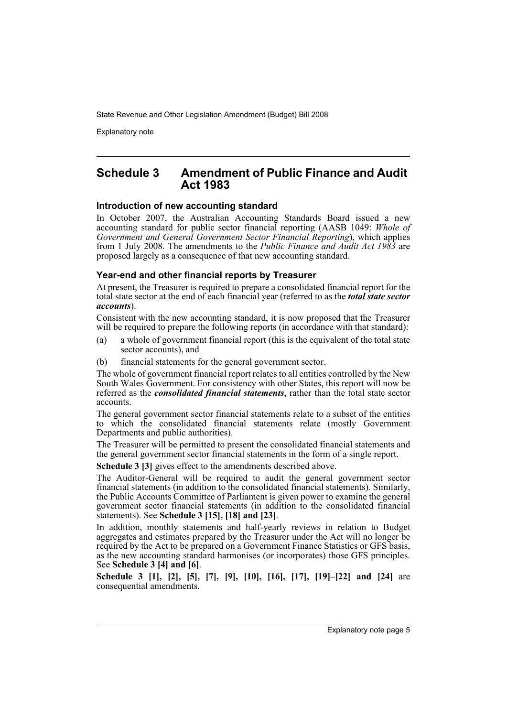Explanatory note

### **Schedule 3 Amendment of Public Finance and Audit Act 1983**

#### **Introduction of new accounting standard**

In October 2007, the Australian Accounting Standards Board issued a new accounting standard for public sector financial reporting (AASB 1049: *Whole of Government and General Government Sector Financial Reporting*), which applies from 1 July 2008. The amendments to the *Public Finance and Audit Act 1983* are proposed largely as a consequence of that new accounting standard.

#### **Year-end and other financial reports by Treasurer**

At present, the Treasurer is required to prepare a consolidated financial report for the total state sector at the end of each financial year (referred to as the *total state sector accounts*).

Consistent with the new accounting standard, it is now proposed that the Treasurer will be required to prepare the following reports (in accordance with that standard):

- (a) a whole of government financial report (this is the equivalent of the total state sector accounts), and
- (b) financial statements for the general government sector.

The whole of government financial report relates to all entities controlled by the New South Wales Government. For consistency with other States, this report will now be referred as the *consolidated financial statements*, rather than the total state sector accounts.

The general government sector financial statements relate to a subset of the entities to which the consolidated financial statements relate (mostly Government Departments and public authorities).

The Treasurer will be permitted to present the consolidated financial statements and the general government sector financial statements in the form of a single report.

**Schedule 3 [3]** gives effect to the amendments described above.

The Auditor-General will be required to audit the general government sector financial statements (in addition to the consolidated financial statements). Similarly, the Public Accounts Committee of Parliament is given power to examine the general government sector financial statements (in addition to the consolidated financial statements). See **Schedule 3 [15], [18] and [23]**.

In addition, monthly statements and half-yearly reviews in relation to Budget aggregates and estimates prepared by the Treasurer under the Act will no longer be required by the Act to be prepared on a Government Finance Statistics or GFS basis, as the new accounting standard harmonises (or incorporates) those GFS principles. See **Schedule 3 [4] and [6]**.

**Schedule 3 [1], [2], [5], [7], [9], [10], [16], [17], [19]–[22] and [24]** are consequential amendments.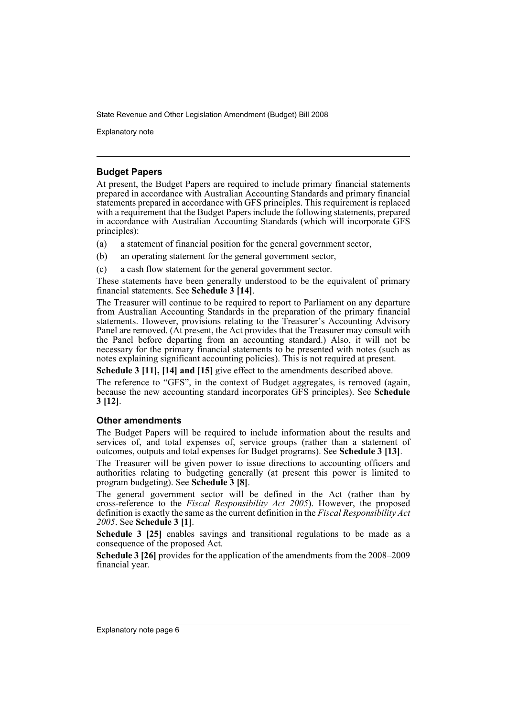Explanatory note

### **Budget Papers**

At present, the Budget Papers are required to include primary financial statements prepared in accordance with Australian Accounting Standards and primary financial statements prepared in accordance with GFS principles. This requirement is replaced with a requirement that the Budget Papers include the following statements, prepared in accordance with Australian Accounting Standards (which will incorporate GFS principles):

(a) a statement of financial position for the general government sector,

- (b) an operating statement for the general government sector,
- (c) a cash flow statement for the general government sector.

These statements have been generally understood to be the equivalent of primary financial statements. See **Schedule 3 [14]**.

The Treasurer will continue to be required to report to Parliament on any departure from Australian Accounting Standards in the preparation of the primary financial statements. However, provisions relating to the Treasurer's Accounting Advisory Panel are removed. (At present, the Act provides that the Treasurer may consult with the Panel before departing from an accounting standard.) Also, it will not be necessary for the primary financial statements to be presented with notes (such as notes explaining significant accounting policies). This is not required at present.

**Schedule 3 [11], [14] and [15]** give effect to the amendments described above.

The reference to "GFS", in the context of Budget aggregates, is removed (again, because the new accounting standard incorporates GFS principles). See **Schedule 3 [12]**.

### **Other amendments**

The Budget Papers will be required to include information about the results and services of, and total expenses of, service groups (rather than a statement of outcomes, outputs and total expenses for Budget programs). See **Schedule 3 [13]**.

The Treasurer will be given power to issue directions to accounting officers and authorities relating to budgeting generally (at present this power is limited to program budgeting). See **Schedule 3 [8]**.

The general government sector will be defined in the Act (rather than by cross-reference to the *Fiscal Responsibility Act 2005*). However, the proposed definition is exactly the same as the current definition in the *Fiscal Responsibility Act 2005*. See **Schedule 3 [1]**.

**Schedule 3 [25]** enables savings and transitional regulations to be made as a consequence of the proposed Act.

**Schedule 3 [26]** provides for the application of the amendments from the 2008–2009 financial year.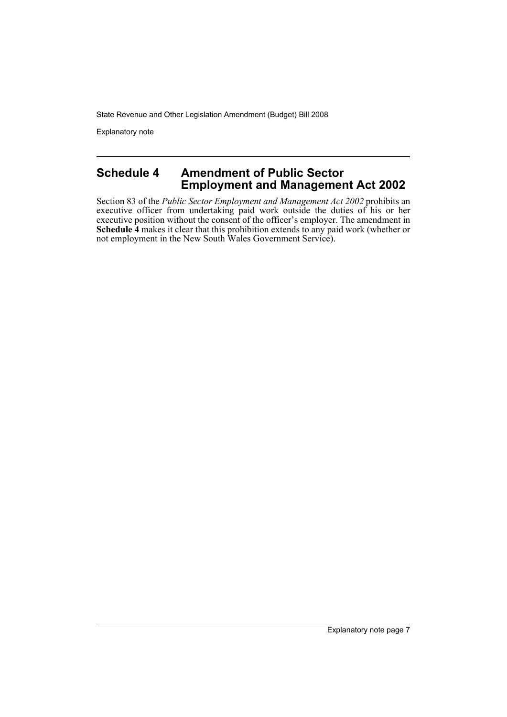Explanatory note

### **Schedule 4 Amendment of Public Sector Employment and Management Act 2002**

Section 83 of the *Public Sector Employment and Management Act 2002* prohibits an executive officer from undertaking paid work outside the duties of his or her executive position without the consent of the officer's employer. The amendment in **Schedule 4** makes it clear that this prohibition extends to any paid work (whether or not employment in the New South Wales Government Service).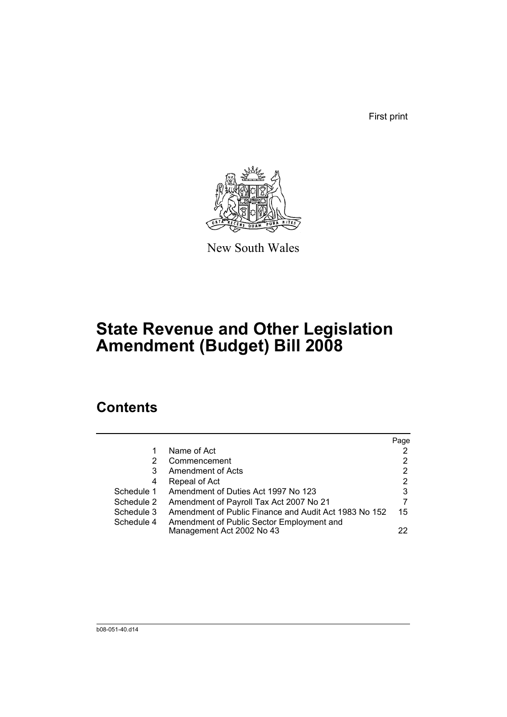First print



New South Wales

# **State Revenue and Other Legislation Amendment (Budget) Bill 2008**

# **Contents**

|            |                                                       | Page |
|------------|-------------------------------------------------------|------|
|            | Name of Act                                           |      |
| 2          | Commencement                                          | 2    |
| 3          | Amendment of Acts                                     | 2    |
| 4          | Repeal of Act                                         | 2    |
| Schedule 1 | Amendment of Duties Act 1997 No 123                   | 3    |
| Schedule 2 | Amendment of Payroll Tax Act 2007 No 21               |      |
| Schedule 3 | Amendment of Public Finance and Audit Act 1983 No 152 | 15   |
| Schedule 4 | Amendment of Public Sector Employment and             |      |
|            | Management Act 2002 No 43                             | 22   |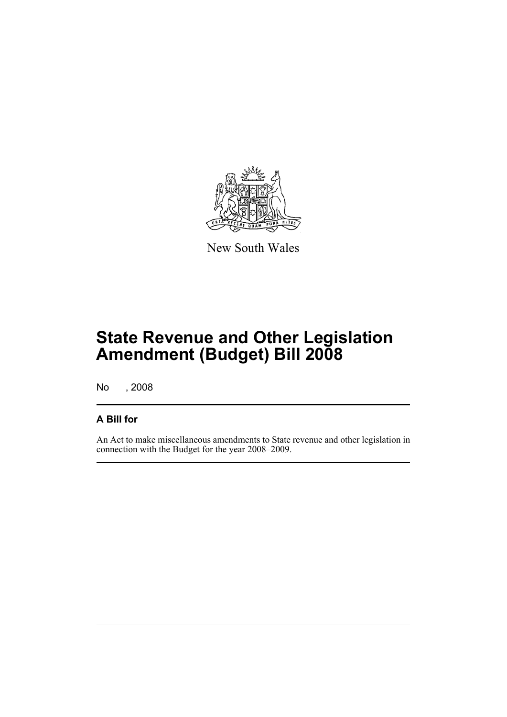

New South Wales

# **State Revenue and Other Legislation Amendment (Budget) Bill 2008**

No , 2008

### **A Bill for**

An Act to make miscellaneous amendments to State revenue and other legislation in connection with the Budget for the year 2008–2009.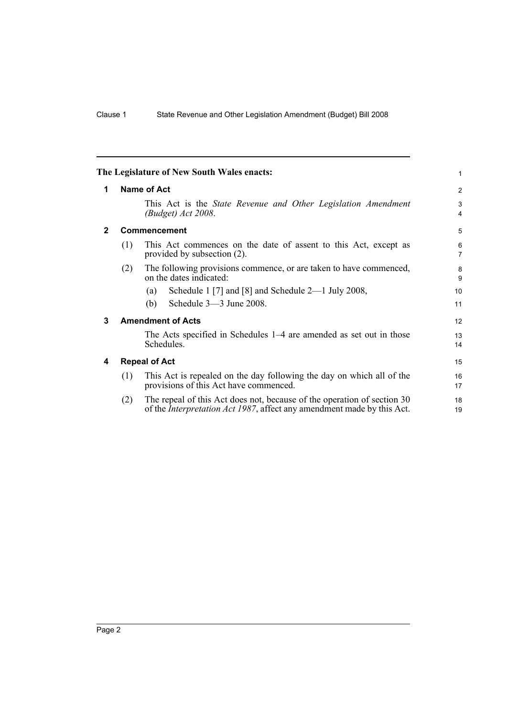| <b>Name of Act</b><br>1                                                                                                                                          | 2                   |
|------------------------------------------------------------------------------------------------------------------------------------------------------------------|---------------------|
| This Act is the <i>State Revenue and Other Legislation Amendment</i><br>(Budget) Act 2008.                                                                       | 3<br>$\overline{4}$ |
| $\mathbf{2}$<br>Commencement                                                                                                                                     | 5                   |
| This Act commences on the date of assent to this Act, except as<br>(1)<br>provided by subsection (2).                                                            | 6<br>$\overline{7}$ |
| The following provisions commence, or are taken to have commenced,<br>(2)<br>on the dates indicated:                                                             | 8<br>9              |
| Schedule 1 [7] and [8] and Schedule $2-1$ July 2008,<br>(a)                                                                                                      | 10                  |
| Schedule 3-3 June 2008.<br>(b)                                                                                                                                   | 11                  |
| <b>Amendment of Acts</b><br>3                                                                                                                                    | 12                  |
| The Acts specified in Schedules 1–4 are amended as set out in those<br>Schedules.                                                                                | 13<br>14            |
| <b>Repeal of Act</b><br>4                                                                                                                                        | 15                  |
| This Act is repealed on the day following the day on which all of the<br>(1)<br>provisions of this Act have commenced.                                           | 16<br>17            |
| The repeal of this Act does not, because of the operation of section 30<br>(2)<br>of the <i>Interpretation Act 1987</i> , affect any amendment made by this Act. | 18<br>19            |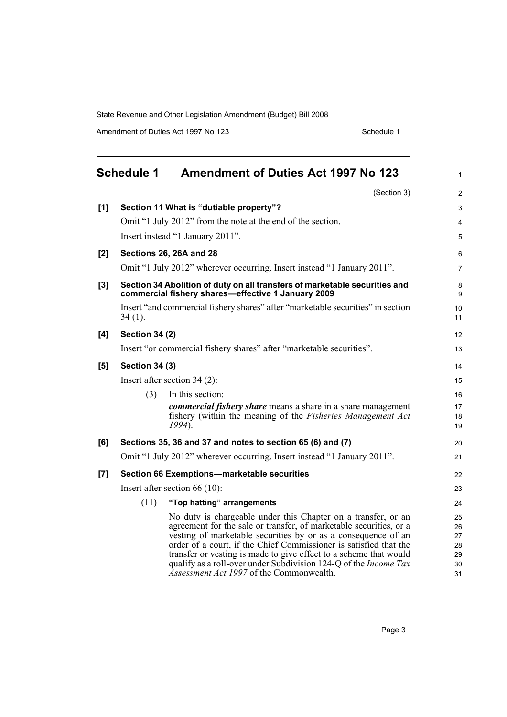Amendment of Duties Act 1997 No 123 Schedule 1

|       | <b>Schedule 1</b>     | <b>Amendment of Duties Act 1997 No 123</b>                                                                                                                                                                                                                                                                                                                                                                                                                            | 1                                      |
|-------|-----------------------|-----------------------------------------------------------------------------------------------------------------------------------------------------------------------------------------------------------------------------------------------------------------------------------------------------------------------------------------------------------------------------------------------------------------------------------------------------------------------|----------------------------------------|
|       |                       | (Section 3)                                                                                                                                                                                                                                                                                                                                                                                                                                                           | $\overline{c}$                         |
| [1]   |                       | Section 11 What is "dutiable property"?                                                                                                                                                                                                                                                                                                                                                                                                                               | 3                                      |
|       |                       | Omit "1 July 2012" from the note at the end of the section.                                                                                                                                                                                                                                                                                                                                                                                                           | 4                                      |
|       |                       | Insert instead "1 January 2011".                                                                                                                                                                                                                                                                                                                                                                                                                                      | 5                                      |
| [2]   |                       | Sections 26, 26A and 28                                                                                                                                                                                                                                                                                                                                                                                                                                               | 6                                      |
|       |                       | Omit "1 July 2012" wherever occurring. Insert instead "1 January 2011".                                                                                                                                                                                                                                                                                                                                                                                               | $\overline{7}$                         |
| $[3]$ |                       | Section 34 Abolition of duty on all transfers of marketable securities and<br>commercial fishery shares-effective 1 January 2009                                                                                                                                                                                                                                                                                                                                      | 8<br>9                                 |
|       | $34(1)$ .             | Insert "and commercial fishery shares" after "marketable securities" in section                                                                                                                                                                                                                                                                                                                                                                                       | 10<br>11                               |
| [4]   | <b>Section 34 (2)</b> |                                                                                                                                                                                                                                                                                                                                                                                                                                                                       | 12                                     |
|       |                       | Insert "or commercial fishery shares" after "marketable securities".                                                                                                                                                                                                                                                                                                                                                                                                  | 13                                     |
| [5]   | <b>Section 34 (3)</b> |                                                                                                                                                                                                                                                                                                                                                                                                                                                                       | 14                                     |
|       |                       | Insert after section $34(2)$ :                                                                                                                                                                                                                                                                                                                                                                                                                                        | 15                                     |
|       | (3)                   | In this section:                                                                                                                                                                                                                                                                                                                                                                                                                                                      | 16                                     |
|       |                       | <i>commercial fishery share</i> means a share in a share management<br>fishery (within the meaning of the <i>Fisheries Management Act</i><br>$1994$ ).                                                                                                                                                                                                                                                                                                                | 17<br>18<br>19                         |
| [6]   |                       | Sections 35, 36 and 37 and notes to section 65 (6) and (7)                                                                                                                                                                                                                                                                                                                                                                                                            | 20                                     |
|       |                       | Omit "1 July 2012" wherever occurring. Insert instead "1 January 2011".                                                                                                                                                                                                                                                                                                                                                                                               | 21                                     |
| $[7]$ |                       | Section 66 Exemptions-marketable securities                                                                                                                                                                                                                                                                                                                                                                                                                           | 22                                     |
|       |                       | Insert after section 66 $(10)$ :                                                                                                                                                                                                                                                                                                                                                                                                                                      | 23                                     |
|       | (11)                  | "Top hatting" arrangements                                                                                                                                                                                                                                                                                                                                                                                                                                            | 24                                     |
|       |                       | No duty is chargeable under this Chapter on a transfer, or an<br>agreement for the sale or transfer, of marketable securities, or a<br>vesting of marketable securities by or as a consequence of an<br>order of a court, if the Chief Commissioner is satisfied that the<br>transfer or vesting is made to give effect to a scheme that would<br>qualify as a roll-over under Subdivision 124-Q of the <i>Income Tax</i><br>Assessment Act 1997 of the Commonwealth. | 25<br>26<br>27<br>28<br>29<br>30<br>31 |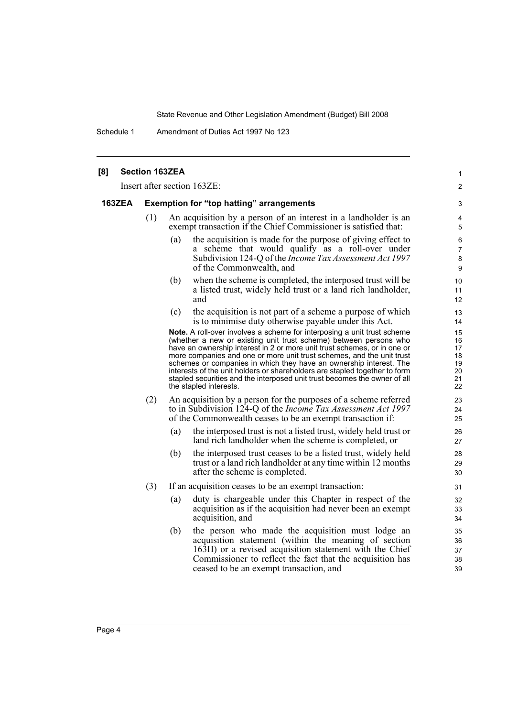Schedule 1 Amendment of Duties Act 1997 No 123

| [8] |               | <b>Section 163ZEA</b> |                                                                                                                                                                                                                                                                                                                                                                                                                                                                                                                                                                     | 1                                            |
|-----|---------------|-----------------------|---------------------------------------------------------------------------------------------------------------------------------------------------------------------------------------------------------------------------------------------------------------------------------------------------------------------------------------------------------------------------------------------------------------------------------------------------------------------------------------------------------------------------------------------------------------------|----------------------------------------------|
|     |               |                       | Insert after section 163ZE:                                                                                                                                                                                                                                                                                                                                                                                                                                                                                                                                         | 2                                            |
|     | <b>163ZEA</b> |                       | <b>Exemption for "top hatting" arrangements</b>                                                                                                                                                                                                                                                                                                                                                                                                                                                                                                                     | 3                                            |
|     |               | (1)                   | An acquisition by a person of an interest in a landholder is an<br>exempt transaction if the Chief Commissioner is satisfied that:                                                                                                                                                                                                                                                                                                                                                                                                                                  | 4<br>5                                       |
|     |               |                       | the acquisition is made for the purpose of giving effect to<br>(a)<br>a scheme that would qualify as a roll-over under<br>Subdivision 124-Q of the <i>Income Tax Assessment Act 1997</i><br>of the Commonwealth, and                                                                                                                                                                                                                                                                                                                                                | 6<br>7<br>8<br>9                             |
|     |               |                       | when the scheme is completed, the interposed trust will be<br>(b)<br>a listed trust, widely held trust or a land rich landholder,<br>and                                                                                                                                                                                                                                                                                                                                                                                                                            | 10<br>11<br>12                               |
|     |               |                       | the acquisition is not part of a scheme a purpose of which<br>(c)<br>is to minimise duty otherwise payable under this Act.                                                                                                                                                                                                                                                                                                                                                                                                                                          | 13<br>14                                     |
|     |               |                       | <b>Note.</b> A roll-over involves a scheme for interposing a unit trust scheme<br>(whether a new or existing unit trust scheme) between persons who<br>have an ownership interest in 2 or more unit trust schemes, or in one or<br>more companies and one or more unit trust schemes, and the unit trust<br>schemes or companies in which they have an ownership interest. The<br>interests of the unit holders or shareholders are stapled together to form<br>stapled securities and the interposed unit trust becomes the owner of all<br>the stapled interests. | 15<br>16<br>17<br>18<br>19<br>20<br>21<br>22 |
|     |               | (2)                   | An acquisition by a person for the purposes of a scheme referred<br>to in Subdivision 124-Q of the <i>Income Tax Assessment Act 1997</i><br>of the Commonwealth ceases to be an exempt transaction if:                                                                                                                                                                                                                                                                                                                                                              | 23<br>24<br>25                               |
|     |               |                       | (a)<br>the interposed trust is not a listed trust, widely held trust or<br>land rich landholder when the scheme is completed, or                                                                                                                                                                                                                                                                                                                                                                                                                                    | 26<br>27                                     |
|     |               |                       | (b)<br>the interposed trust ceases to be a listed trust, widely held<br>trust or a land rich landholder at any time within 12 months<br>after the scheme is completed.                                                                                                                                                                                                                                                                                                                                                                                              | 28<br>29<br>30                               |
|     |               | (3)                   | If an acquisition ceases to be an exempt transaction:                                                                                                                                                                                                                                                                                                                                                                                                                                                                                                               | 31                                           |
|     |               |                       | duty is chargeable under this Chapter in respect of the<br>(a)<br>acquisition as if the acquisition had never been an exempt<br>acquisition, and                                                                                                                                                                                                                                                                                                                                                                                                                    | 32<br>33<br>34                               |
|     |               |                       | (b)<br>the person who made the acquisition must lodge an<br>acquisition statement (within the meaning of section<br>163H) or a revised acquisition statement with the Chief<br>Commissioner to reflect the fact that the acquisition has<br>ceased to be an exempt transaction, and                                                                                                                                                                                                                                                                                 | 35<br>36<br>37<br>38<br>39                   |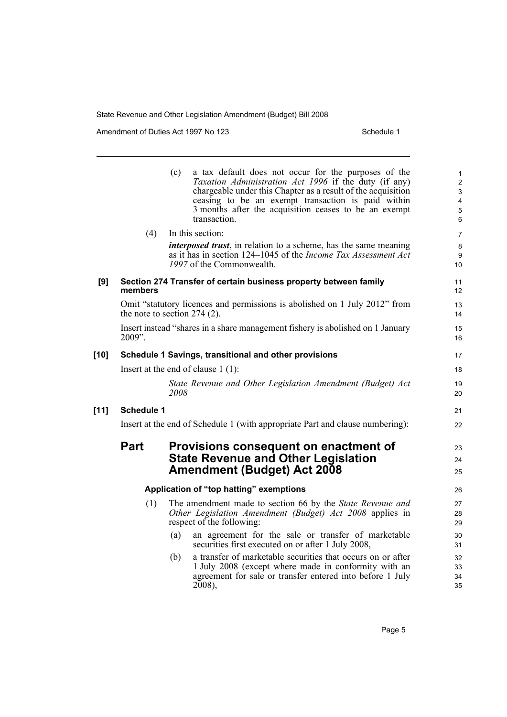Amendment of Duties Act 1997 No 123 Schedule 1

|        |                   | (c)<br>a tax default does not occur for the purposes of the<br><i>Taxation Administration Act 1996</i> if the duty (if any)<br>chargeable under this Chapter as a result of the acquisition<br>ceasing to be an exempt transaction is paid within<br>3 months after the acquisition ceases to be an exempt<br>transaction. | $\mathbf{1}$<br>$\mathbf{2}$<br>3<br>$\overline{4}$<br>$\overline{5}$<br>6 |
|--------|-------------------|----------------------------------------------------------------------------------------------------------------------------------------------------------------------------------------------------------------------------------------------------------------------------------------------------------------------------|----------------------------------------------------------------------------|
|        | (4)               | In this section:                                                                                                                                                                                                                                                                                                           | $\overline{7}$                                                             |
|        |                   | <i>interposed trust</i> , in relation to a scheme, has the same meaning<br>as it has in section 124–1045 of the <i>Income Tax Assessment Act</i><br>1997 of the Commonwealth.                                                                                                                                              | 8<br>9<br>10                                                               |
| [9]    | members           | Section 274 Transfer of certain business property between family                                                                                                                                                                                                                                                           | 11<br>12                                                                   |
|        |                   | Omit "statutory licences and permissions is abolished on 1 July 2012" from<br>the note to section $274$ (2).                                                                                                                                                                                                               | 13<br>14                                                                   |
|        | 2009".            | Insert instead "shares in a share management fishery is abolished on 1 January                                                                                                                                                                                                                                             | 15<br>16                                                                   |
| $[10]$ |                   | Schedule 1 Savings, transitional and other provisions                                                                                                                                                                                                                                                                      | 17                                                                         |
|        |                   | Insert at the end of clause $1(1)$ :                                                                                                                                                                                                                                                                                       | 18                                                                         |
|        |                   | State Revenue and Other Legislation Amendment (Budget) Act<br>2008                                                                                                                                                                                                                                                         | 19<br>20                                                                   |
| $[11]$ | <b>Schedule 1</b> |                                                                                                                                                                                                                                                                                                                            | 21                                                                         |
|        |                   | Insert at the end of Schedule 1 (with appropriate Part and clause numbering):                                                                                                                                                                                                                                              | 22                                                                         |
|        | <b>Part</b>       | Provisions consequent on enactment of<br><b>State Revenue and Other Legislation</b><br><b>Amendment (Budget) Act 2008</b>                                                                                                                                                                                                  | 23<br>24<br>25                                                             |
|        |                   | Application of "top hatting" exemptions                                                                                                                                                                                                                                                                                    | 26                                                                         |
|        | (1)               | The amendment made to section 66 by the State Revenue and<br>Other Legislation Amendment (Budget) Act 2008 applies in<br>respect of the following:                                                                                                                                                                         | 27<br>28<br>29                                                             |
|        |                   | (a)<br>an agreement for the sale or transfer of marketable<br>securities first executed on or after 1 July 2008,                                                                                                                                                                                                           | 30<br>31                                                                   |
|        |                   | a transfer of marketable securities that occurs on or after<br>(b)<br>1 July 2008 (except where made in conformity with an<br>agreement for sale or transfer entered into before 1 July<br>$2008$ ),                                                                                                                       | 32<br>33<br>34<br>35                                                       |
|        |                   |                                                                                                                                                                                                                                                                                                                            |                                                                            |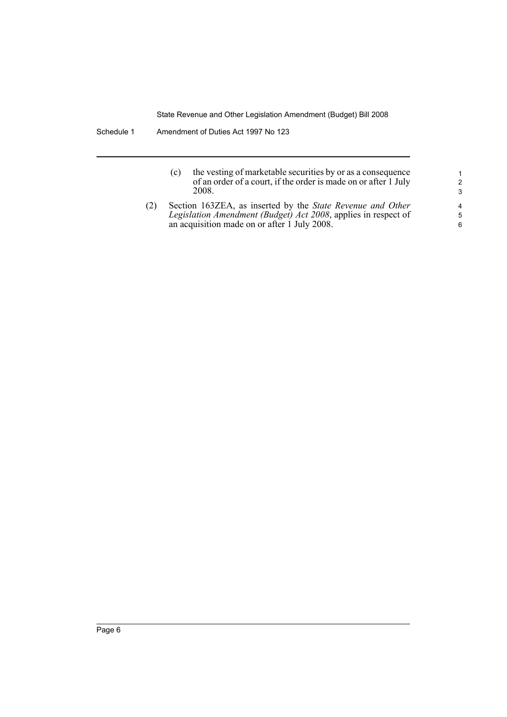| (c) | the vesting of marketable securities by or as a consequence     |
|-----|-----------------------------------------------------------------|
|     | of an order of a court, if the order is made on or after 1 July |
|     | 2008.                                                           |

(2) Section 163ZEA, as inserted by the *State Revenue and Other Legislation Amendment (Budget) Act 2008*, applies in respect of an acquisition made on or after 1 July 2008.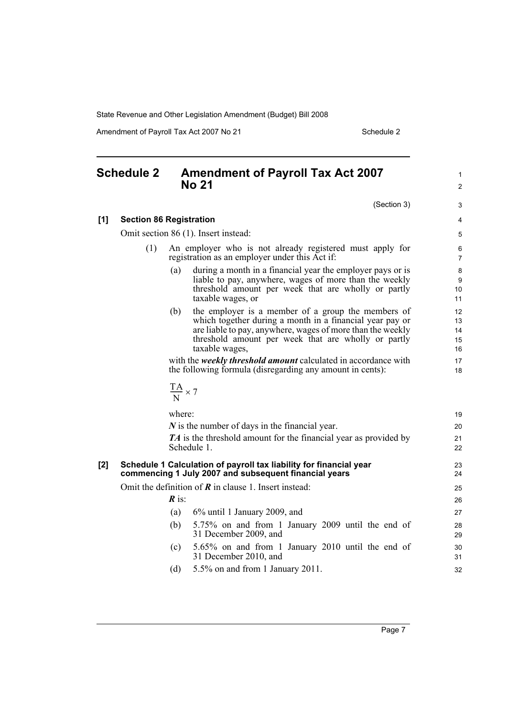Amendment of Payroll Tax Act 2007 No 21 Schedule 2

## **Schedule 2 Amendment of Payroll Tax Act 2007 No 21**

(Section 3)

19

1 2

3

#### **[1] Section 86 Registration**

Omit section 86 (1). Insert instead:

- (1) An employer who is not already registered must apply for registration as an employer under this Act if:
	- (a) during a month in a financial year the employer pays or is liable to pay, anywhere, wages of more than the weekly threshold amount per week that are wholly or partly taxable wages, or
	- (b) the employer is a member of a group the members of which together during a month in a financial year pay or are liable to pay, anywhere, wages of more than the weekly threshold amount per week that are wholly or partly taxable wages,

with the *weekly threshold amount* calculated in accordance with the following formula (disregarding any amount in cents):

$$
\frac{TA}{N}\times 7
$$

where:

|     | $N$ is the number of days in the financial year.<br><b>TA</b> is the threshold amount for the financial year as provided by | 20<br>21 |
|-----|-----------------------------------------------------------------------------------------------------------------------------|----------|
|     | Schedule 1.                                                                                                                 | 22       |
| [2] | Schedule 1 Calculation of payroll tax liability for financial year<br>commencing 1 July 2007 and subsequent financial years | 23<br>24 |
|     | Omit the definition of $\bf{R}$ in clause 1. Insert instead:                                                                | 25       |
|     | $\boldsymbol{R}$ is:                                                                                                        | 26       |
|     | $6\%$ until 1 January 2009, and<br>(a)                                                                                      | 27       |
|     | 5.75% on and from 1 January 2009 until the end of<br>(b)<br>31 December 2009, and                                           | 28<br>29 |
|     | 5.65% on and from 1 January 2010 until the end of<br>(c)<br>31 December 2010, and                                           | 30<br>31 |
|     | $5.5\%$ on and from 1 January 2011.<br>(d)                                                                                  | 32       |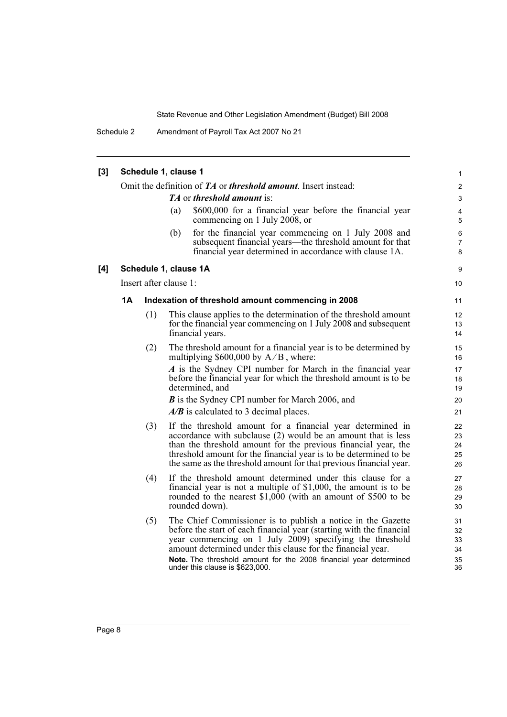Schedule 2 Amendment of Payroll Tax Act 2007 No 21

| [3] |           | Schedule 1, clause 1   |     |                                                                                                                                                                                                                                                                                                                                                                         | 1                                |
|-----|-----------|------------------------|-----|-------------------------------------------------------------------------------------------------------------------------------------------------------------------------------------------------------------------------------------------------------------------------------------------------------------------------------------------------------------------------|----------------------------------|
|     |           |                        |     | Omit the definition of TA or threshold amount. Insert instead:                                                                                                                                                                                                                                                                                                          | $\overline{c}$                   |
|     |           |                        |     | <b>TA</b> or threshold amount is:                                                                                                                                                                                                                                                                                                                                       | $\ensuremath{\mathsf{3}}$        |
|     |           |                        | (a) | \$600,000 for a financial year before the financial year<br>commencing on 1 July 2008, or                                                                                                                                                                                                                                                                               | 4<br>$\overline{5}$              |
|     |           |                        | (b) | for the financial year commencing on 1 July 2008 and<br>subsequent financial years—the threshold amount for that<br>financial year determined in accordance with clause 1A.                                                                                                                                                                                             | 6<br>$\overline{7}$<br>8         |
| [4] |           | Schedule 1, clause 1A  |     |                                                                                                                                                                                                                                                                                                                                                                         | 9                                |
|     |           | Insert after clause 1: |     |                                                                                                                                                                                                                                                                                                                                                                         | 10                               |
|     | <b>1A</b> |                        |     | Indexation of threshold amount commencing in 2008                                                                                                                                                                                                                                                                                                                       | 11                               |
|     |           | (1)                    |     | This clause applies to the determination of the threshold amount<br>for the financial year commencing on 1 July 2008 and subsequent<br>financial years.                                                                                                                                                                                                                 | 12<br>13<br>14                   |
|     |           | (2)                    |     | The threshold amount for a financial year is to be determined by<br>multiplying $$600,000$ by $A/B$ , where:                                                                                                                                                                                                                                                            | 15<br>16                         |
|     |           |                        |     | A is the Sydney CPI number for March in the financial year<br>before the financial year for which the threshold amount is to be<br>determined, and                                                                                                                                                                                                                      | 17<br>18<br>19                   |
|     |           |                        |     | <b>B</b> is the Sydney CPI number for March 2006, and<br>$A/B$ is calculated to 3 decimal places.                                                                                                                                                                                                                                                                       | 20<br>21                         |
|     |           | (3)                    |     | If the threshold amount for a financial year determined in<br>accordance with subclause $(2)$ would be an amount that is less<br>than the threshold amount for the previous financial year, the<br>threshold amount for the financial year is to be determined to be<br>the same as the threshold amount for that previous financial year.                              | 22<br>23<br>24<br>25<br>26       |
|     |           | (4)                    |     | If the threshold amount determined under this clause for a<br>financial year is not a multiple of $$1,000$ , the amount is to be<br>rounded to the nearest $$1,000$ (with an amount of \$500 to be<br>rounded down).                                                                                                                                                    | 27<br>28<br>29<br>30             |
|     |           | (5)                    |     | The Chief Commissioner is to publish a notice in the Gazette<br>before the start of each financial year (starting with the financial<br>year commencing on 1 July 2009) specifying the threshold<br>amount determined under this clause for the financial year.<br>Note. The threshold amount for the 2008 financial year determined<br>under this clause is \$623,000. | 31<br>32<br>33<br>34<br>35<br>36 |
|     |           |                        |     |                                                                                                                                                                                                                                                                                                                                                                         |                                  |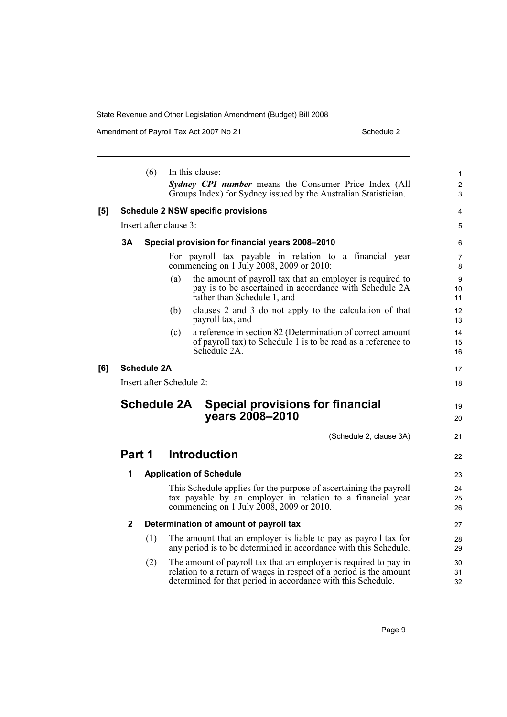Amendment of Payroll Tax Act 2007 No 21 Schedule 2

|     | (6)                    | In this clause:<br>Sydney CPI number means the Consumer Price Index (All                                                                                                                               | 1<br>2              |
|-----|------------------------|--------------------------------------------------------------------------------------------------------------------------------------------------------------------------------------------------------|---------------------|
|     |                        | Groups Index) for Sydney issued by the Australian Statistician.                                                                                                                                        | 3                   |
| [5] |                        | <b>Schedule 2 NSW specific provisions</b>                                                                                                                                                              | 4                   |
|     | Insert after clause 3: |                                                                                                                                                                                                        | 5                   |
|     | 3A                     | Special provision for financial years 2008-2010                                                                                                                                                        | 6                   |
|     |                        | For payroll tax payable in relation to a financial year<br>commencing on 1 July 2008, 2009 or 2010:                                                                                                    | $\overline{7}$<br>8 |
|     |                        | the amount of payroll tax that an employer is required to<br>(a)<br>pay is to be ascertained in accordance with Schedule 2A<br>rather than Schedule 1, and                                             | 9<br>10<br>11       |
|     |                        | clauses 2 and 3 do not apply to the calculation of that<br>(b)<br>payroll tax, and                                                                                                                     | 12<br>13            |
|     |                        | a reference in section 82 (Determination of correct amount<br>(c)<br>of payroll tax) to Schedule 1 is to be read as a reference to<br>Schedule 2A.                                                     | 14<br>15<br>16      |
| [6] | <b>Schedule 2A</b>     |                                                                                                                                                                                                        | 17                  |
|     |                        | Insert after Schedule 2:                                                                                                                                                                               | 18                  |
|     | <b>Schedule 2A</b>     | <b>Special provisions for financial</b><br>years 2008-2010                                                                                                                                             | 19<br>20            |
|     |                        | (Schedule 2, clause 3A)                                                                                                                                                                                | 21                  |
|     | Part 1                 | <b>Introduction</b>                                                                                                                                                                                    | 22                  |
|     | 1                      | <b>Application of Schedule</b>                                                                                                                                                                         | 23                  |
|     |                        | This Schedule applies for the purpose of ascertaining the payroll<br>tax payable by an employer in relation to a financial year<br>commencing on 1 July 2008, 2009 or 2010.                            | 24<br>25<br>26      |
|     | 2                      | Determination of amount of payroll tax                                                                                                                                                                 | 27                  |
|     | (1)                    | The amount that an employer is liable to pay as payroll tax for<br>any period is to be determined in accordance with this Schedule.                                                                    | 28<br>29            |
|     | (2)                    | The amount of payroll tax that an employer is required to pay in<br>relation to a return of wages in respect of a period is the amount<br>determined for that period in accordance with this Schedule. | 30<br>31<br>32      |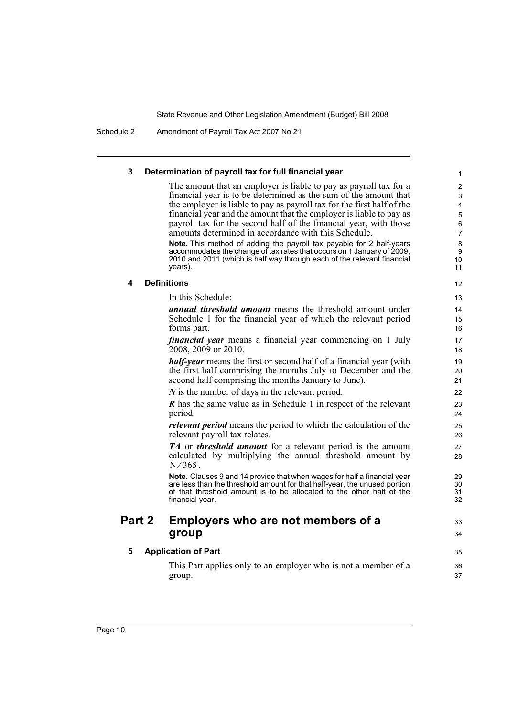Schedule 2 Amendment of Payroll Tax Act 2007 No 21

| 3      | Determination of payroll tax for full financial year                                                                                              |  |
|--------|---------------------------------------------------------------------------------------------------------------------------------------------------|--|
|        | The amount that an employer is liable to pay as payroll tax for a                                                                                 |  |
|        | financial year is to be determined as the sum of the amount that                                                                                  |  |
|        | the employer is liable to pay as payroll tax for the first half of the                                                                            |  |
|        | financial year and the amount that the employer is liable to pay as                                                                               |  |
|        | payroll tax for the second half of the financial year, with those<br>amounts determined in accordance with this Schedule.                         |  |
|        | <b>Note.</b> This method of adding the payroll tax payable for 2 half-years                                                                       |  |
|        | accommodates the change of tax rates that occurs on 1 January of 2009,                                                                            |  |
|        | 2010 and 2011 (which is half way through each of the relevant financial<br>years).                                                                |  |
| 4      | <b>Definitions</b>                                                                                                                                |  |
|        | In this Schedule:                                                                                                                                 |  |
|        | <i>annual threshold amount</i> means the threshold amount under                                                                                   |  |
|        | Schedule 1 for the financial year of which the relevant period                                                                                    |  |
|        | forms part.                                                                                                                                       |  |
|        | <i>financial year</i> means a financial year commencing on 1 July                                                                                 |  |
|        | 2008, 2009 or 2010.                                                                                                                               |  |
|        | <b>half-year</b> means the first or second half of a financial year (with                                                                         |  |
|        | the first half comprising the months July to December and the                                                                                     |  |
|        | second half comprising the months January to June).                                                                                               |  |
|        | $N$ is the number of days in the relevant period.                                                                                                 |  |
|        | <b>R</b> has the same value as in Schedule 1 in respect of the relevant<br>period.                                                                |  |
|        | <i>relevant period</i> means the period to which the calculation of the<br>relevant payroll tax relates.                                          |  |
|        | <b>TA</b> or <b>threshold amount</b> for a relevant period is the amount                                                                          |  |
|        | calculated by multiplying the annual threshold amount by<br>$N/365$ .                                                                             |  |
|        | Note. Clauses 9 and 14 provide that when wages for half a financial year                                                                          |  |
|        | are less than the threshold amount for that half-year, the unused portion<br>of that threshold amount is to be allocated to the other half of the |  |
|        | financial year.                                                                                                                                   |  |
| Part 2 | Employers who are not members of a                                                                                                                |  |
|        | group                                                                                                                                             |  |
| 5      | <b>Application of Part</b>                                                                                                                        |  |
|        | This Part applies only to an employer who is not a member of a                                                                                    |  |
|        | group.                                                                                                                                            |  |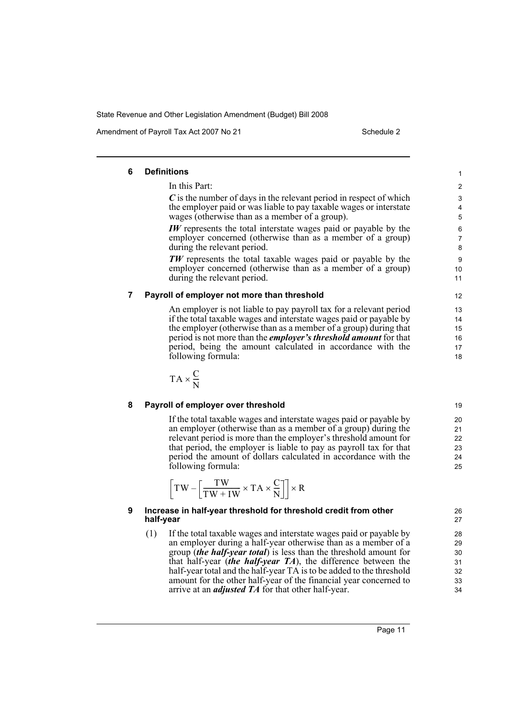Amendment of Payroll Tax Act 2007 No 21 Schedule 2

#### **6 Definitions** In this Part: *C* is the number of days in the relevant period in respect of which the employer paid or was liable to pay taxable wages or interstate wages (otherwise than as a member of a group). *IW* represents the total interstate wages paid or payable by the employer concerned (otherwise than as a member of a group) during the relevant period. *TW* represents the total taxable wages paid or payable by the employer concerned (otherwise than as a member of a group) during the relevant period. **7 Payroll of employer not more than threshold** An employer is not liable to pay payroll tax for a relevant period if the total taxable wages and interstate wages paid or payable by the employer (otherwise than as a member of a group) during that period is not more than the *employer's threshold amount* for that 1 2 3 4 5 6 7 8  $\alpha$ 10 11 12 13 14 15 16

period, being the amount calculated in accordance with the

$$
TA \times \frac{C}{N}
$$

### **8 Payroll of employer over threshold**

following formula:

If the total taxable wages and interstate wages paid or payable by an employer (otherwise than as a member of a group) during the relevant period is more than the employer's threshold amount for that period, the employer is liable to pay as payroll tax for that period the amount of dollars calculated in accordance with the following formula:

$$
\left[\text{T} \text{W} - \left[\frac{\text{T} \text{W}}{\text{T} \text{W} + \text{I} \text{W}} \times \text{T} \text{A} \times \frac{\text{C}}{\text{N}}\right]\right] \times \text{R}
$$

### **9 Increase in half-year threshold for threshold credit from other half-year**

(1) If the total taxable wages and interstate wages paid or payable by an employer during a half-year otherwise than as a member of a group (*the half-year total*) is less than the threshold amount for that half-year (*the half-year TA*), the difference between the half-year total and the half-year TA is to be added to the threshold amount for the other half-year of the financial year concerned to arrive at an *adjusted TA* for that other half-year.

Page 11

18

17

19  $20$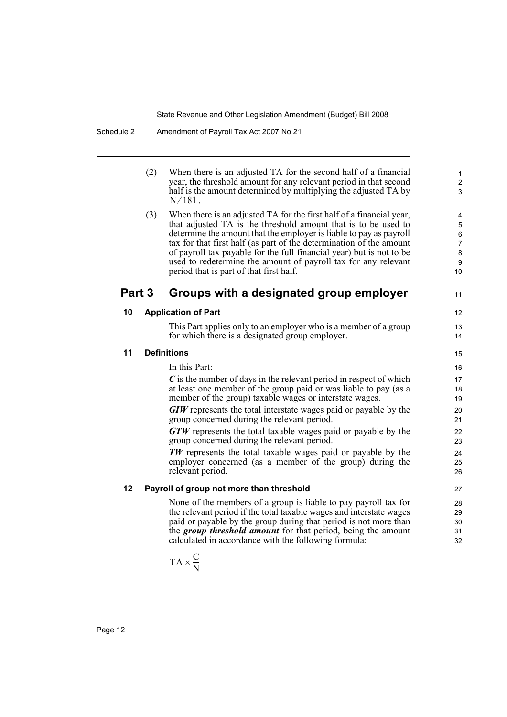|    | (2)    | When there is an adjusted TA for the second half of a financial<br>year, the threshold amount for any relevant period in that second<br>half is the amount determined by multiplying the adjusted TA by<br>$N/181$ .                                                                                                                                                                                                                                                     | $\mathbf{1}$<br>$\overline{c}$<br>3                                   |
|----|--------|--------------------------------------------------------------------------------------------------------------------------------------------------------------------------------------------------------------------------------------------------------------------------------------------------------------------------------------------------------------------------------------------------------------------------------------------------------------------------|-----------------------------------------------------------------------|
|    | (3)    | When there is an adjusted TA for the first half of a financial year,<br>that adjusted TA is the threshold amount that is to be used to<br>determine the amount that the employer is liable to pay as payroll<br>tax for that first half (as part of the determination of the amount<br>of payroll tax payable for the full financial year) but is not to be<br>used to redetermine the amount of payroll tax for any relevant<br>period that is part of that first half. | 4<br>$\sqrt{5}$<br>6<br>$\overline{7}$<br>8<br>$\boldsymbol{9}$<br>10 |
|    | Part 3 | Groups with a designated group employer                                                                                                                                                                                                                                                                                                                                                                                                                                  | 11                                                                    |
| 10 |        | <b>Application of Part</b>                                                                                                                                                                                                                                                                                                                                                                                                                                               | 12                                                                    |
|    |        | This Part applies only to an employer who is a member of a group<br>for which there is a designated group employer.                                                                                                                                                                                                                                                                                                                                                      | 13<br>14                                                              |
| 11 |        | <b>Definitions</b>                                                                                                                                                                                                                                                                                                                                                                                                                                                       | 15                                                                    |
|    |        | In this Part:                                                                                                                                                                                                                                                                                                                                                                                                                                                            | 16                                                                    |
|    |        | $\boldsymbol{C}$ is the number of days in the relevant period in respect of which<br>at least one member of the group paid or was liable to pay (as a<br>member of the group) taxable wages or interstate wages.                                                                                                                                                                                                                                                         | 17<br>18<br>19                                                        |
|    |        | <b>GIW</b> represents the total interstate wages paid or payable by the<br>group concerned during the relevant period.                                                                                                                                                                                                                                                                                                                                                   | 20<br>21                                                              |
|    |        | <b>GTW</b> represents the total taxable wages paid or payable by the<br>group concerned during the relevant period.                                                                                                                                                                                                                                                                                                                                                      | 22<br>23                                                              |
|    |        | TW represents the total taxable wages paid or payable by the<br>employer concerned (as a member of the group) during the<br>relevant period.                                                                                                                                                                                                                                                                                                                             | 24<br>25<br>26                                                        |
| 12 |        | Payroll of group not more than threshold                                                                                                                                                                                                                                                                                                                                                                                                                                 | 27                                                                    |
|    |        | None of the members of a group is liable to pay payroll tax for<br>the relevant period if the total taxable wages and interstate wages<br>paid or payable by the group during that period is not more than<br>the <i>group threshold amount</i> for that period, being the amount<br>calculated in accordance with the following formula:                                                                                                                                | 28<br>29<br>30<br>31<br>32                                            |

$$
TA \times \frac{C}{N}
$$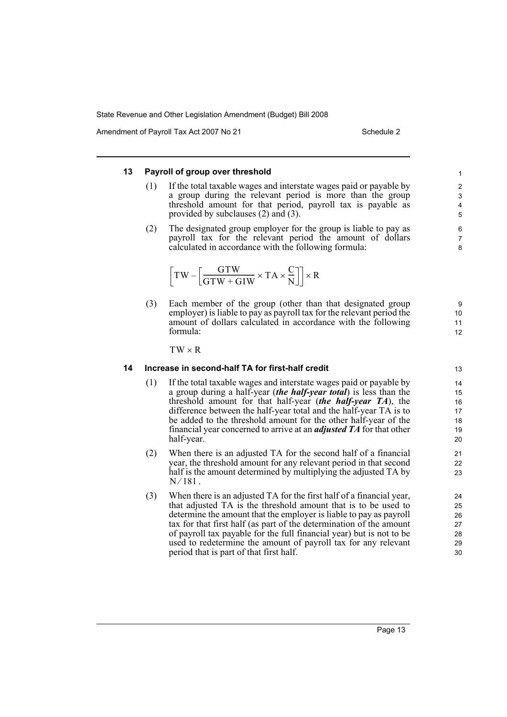Amendment of Payroll Tax Act 2007 No 21 Schedule 2

#### **13 Payroll of group over threshold** (1) If the total taxable wages and interstate wages paid or payable by a group during the relevant period is more than the group threshold amount for that period, payroll tax is payable as provided by subclauses (2) and (3). (2) The designated group employer for the group is liable to pay as payroll tax for the relevant period the amount of dollars calculated in accordance with the following formula: (3) Each member of the group (other than that designated group employer) is liable to pay as payroll tax for the relevant period the amount of dollars calculated in accordance with the following formula: **14 Increase in second-half TA for first-half credit** (1) If the total taxable wages and interstate wages paid or payable by a group during a half-year (*the half-year total*) is less than the threshold amount for that half-year (*the half-year TA*), the difference between the half-year total and the half-year TA is to be added to the threshold amount for the other half-year of the financial year concerned to arrive at an *adjusted TA* for that other half-year. (2) When there is an adjusted TA for the second half of a financial year, the threshold amount for any relevant period in that second half is the amount determined by multiplying the adjusted TA by. (3) When there is an adjusted TA for the first half of a financial year, that adjusted TA is the threshold amount that is to be used to determine the amount that the employer is liable to pay as payroll tax for that first half (as part of the determination of the amount of payroll tax payable for the full financial year) but is not to be used to redetermine the amount of payroll tax for any relevant period that is part of that first half. 1 2 3 4 5 6 7 8  $TW - \left[\frac{GTW}{GTW + GIW} \times TA \times \frac{C}{N}\right] \times R$ 9 10 11 12  $TW \times R$ 13 14 15 16 17 18 19 20 21 22 23  $N/181$ . 24 25 26 27 28 29 30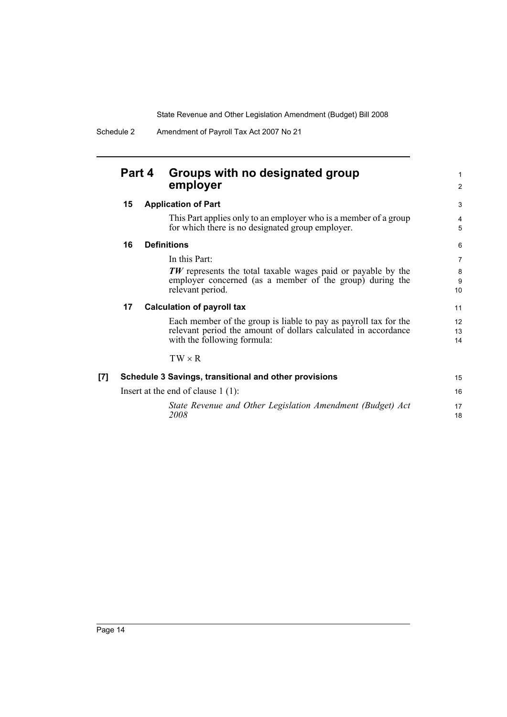|     | Part 4 | Groups with no designated group<br>employer                                                                                                                       | 1<br>2              |
|-----|--------|-------------------------------------------------------------------------------------------------------------------------------------------------------------------|---------------------|
|     | 15     | <b>Application of Part</b>                                                                                                                                        | 3                   |
|     |        | This Part applies only to an employer who is a member of a group<br>for which there is no designated group employer.                                              | $\overline{4}$<br>5 |
|     | 16     | <b>Definitions</b>                                                                                                                                                | 6                   |
|     |        | In this Part:                                                                                                                                                     | $\overline{7}$      |
|     |        | <b>TW</b> represents the total taxable wages paid or payable by the<br>employer concerned (as a member of the group) during the<br>relevant period.               | 8<br>9<br>10        |
|     | 17     | <b>Calculation of payroll tax</b>                                                                                                                                 | 11                  |
|     |        | Each member of the group is liable to pay as payroll tax for the<br>relevant period the amount of dollars calculated in accordance<br>with the following formula: | 12<br>13<br>14      |
|     |        | $TW \times R$                                                                                                                                                     |                     |
| [7] |        | Schedule 3 Savings, transitional and other provisions                                                                                                             | 15                  |
|     |        | Insert at the end of clause $1(1)$ :                                                                                                                              | 16                  |
|     |        | State Revenue and Other Legislation Amendment (Budget) Act<br>2008                                                                                                | 17<br>18            |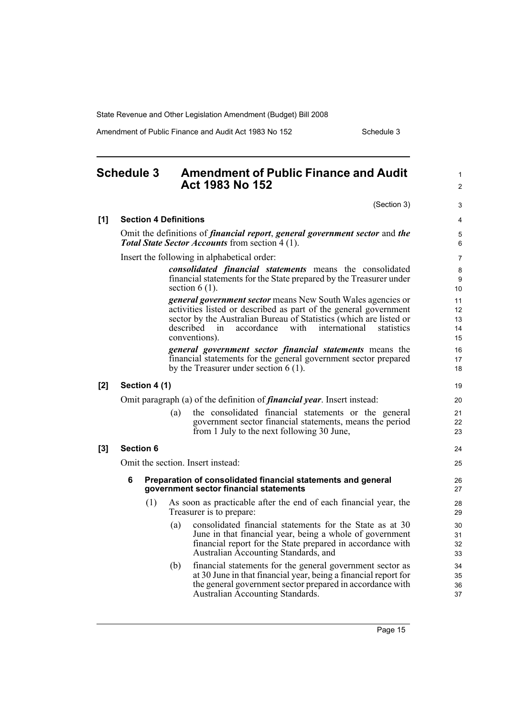Amendment of Public Finance and Audit Act 1983 No 152

#### **Schedule 3 Amendment of Public Finance and Audit Act 1983 No 152** (Section 3) **[1] Section 4 Definitions** Omit the definitions of *financial report*, *general government sector* and *the Total State Sector Accounts* from section 4 (1). Insert the following in alphabetical order: *consolidated financial statements* means the consolidated financial statements for the State prepared by the Treasurer under section  $6(1)$ . *general government sector* means New South Wales agencies or activities listed or described as part of the general government sector by the Australian Bureau of Statistics (which are listed or described in accordance with international statistics conventions). *general government sector financial statements* means the financial statements for the general government sector prepared by the Treasurer under section 6 (1). **[2] Section 4 (1)** Omit paragraph (a) of the definition of *financial year*. Insert instead: (a) the consolidated financial statements or the general government sector financial statements, means the period from 1 July to the next following 30 June, **[3] Section 6** Omit the section. Insert instead: **6 Preparation of consolidated financial statements and general government sector financial statements** (1) As soon as practicable after the end of each financial year, the Treasurer is to prepare: (a) consolidated financial statements for the State as at 30 June in that financial year, being a whole of government financial report for the State prepared in accordance with Australian Accounting Standards, and (b) financial statements for the general government sector as at 30 June in that financial year, being a financial report for the general government sector prepared in accordance with Australian Accounting Standards. 1  $\mathfrak{p}$ 3 4 5 6 7 8 9 10 11 12 13 14 15 16 17 18 19 20 21 22 23 24 25 26 27  $28$ 29 30 31 32 33 34 35 36 37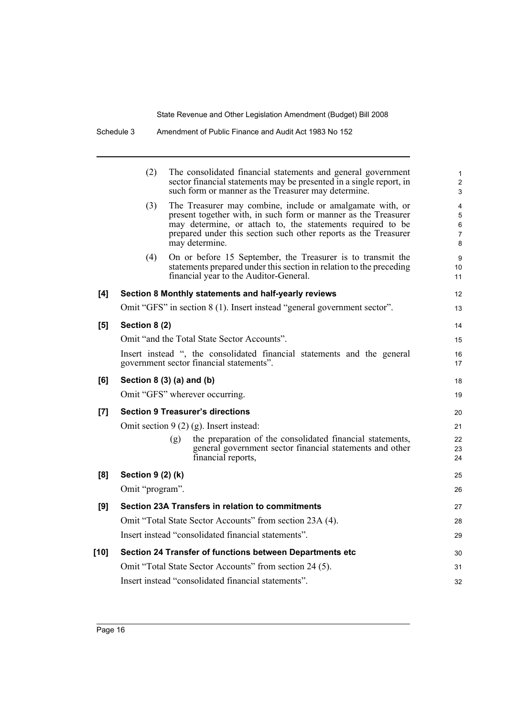|       | (2)               | The consolidated financial statements and general government<br>sector financial statements may be presented in a single report, in<br>such form or manner as the Treasurer may determine.                                                                                     | 1<br>$\overline{\mathbf{c}}$<br>3 |
|-------|-------------------|--------------------------------------------------------------------------------------------------------------------------------------------------------------------------------------------------------------------------------------------------------------------------------|-----------------------------------|
|       | (3)               | The Treasurer may combine, include or amalgamate with, or<br>present together with, in such form or manner as the Treasurer<br>may determine, or attach to, the statements required to be<br>prepared under this section such other reports as the Treasurer<br>may determine. | 4<br>5<br>6<br>7<br>8             |
|       | (4)               | On or before 15 September, the Treasurer is to transmit the<br>statements prepared under this section in relation to the preceding<br>financial year to the Auditor-General.                                                                                                   | 9<br>10<br>11                     |
| [4]   |                   | Section 8 Monthly statements and half-yearly reviews                                                                                                                                                                                                                           | 12                                |
|       |                   | Omit "GFS" in section 8 (1). Insert instead "general government sector".                                                                                                                                                                                                       | 13                                |
| [5]   | Section 8 (2)     |                                                                                                                                                                                                                                                                                | 14                                |
|       |                   | Omit "and the Total State Sector Accounts".                                                                                                                                                                                                                                    | 15                                |
|       |                   | Insert instead ", the consolidated financial statements and the general<br>government sector financial statements".                                                                                                                                                            | 16<br>17                          |
| [6]   |                   | Section $8(3)(a)$ and $(b)$                                                                                                                                                                                                                                                    | 18                                |
|       |                   | Omit "GFS" wherever occurring.                                                                                                                                                                                                                                                 | 19                                |
| $[7]$ |                   | <b>Section 9 Treasurer's directions</b>                                                                                                                                                                                                                                        | 20                                |
|       |                   | Omit section $9(2)(g)$ . Insert instead:                                                                                                                                                                                                                                       | 21                                |
|       |                   | the preparation of the consolidated financial statements,<br>(g)<br>general government sector financial statements and other<br>financial reports,                                                                                                                             | 22<br>23<br>24                    |
| [8]   | Section 9 (2) (k) |                                                                                                                                                                                                                                                                                | 25                                |
|       | Omit "program".   |                                                                                                                                                                                                                                                                                | 26                                |
| [9]   |                   | Section 23A Transfers in relation to commitments                                                                                                                                                                                                                               | 27                                |
|       |                   | Omit "Total State Sector Accounts" from section 23A (4).                                                                                                                                                                                                                       | 28                                |
|       |                   | Insert instead "consolidated financial statements".                                                                                                                                                                                                                            | 29                                |
| [10]  |                   | Section 24 Transfer of functions between Departments etc                                                                                                                                                                                                                       | 30                                |
|       |                   | Omit "Total State Sector Accounts" from section 24 (5).                                                                                                                                                                                                                        | 31                                |
|       |                   | Insert instead "consolidated financial statements".                                                                                                                                                                                                                            | 32                                |
|       |                   |                                                                                                                                                                                                                                                                                |                                   |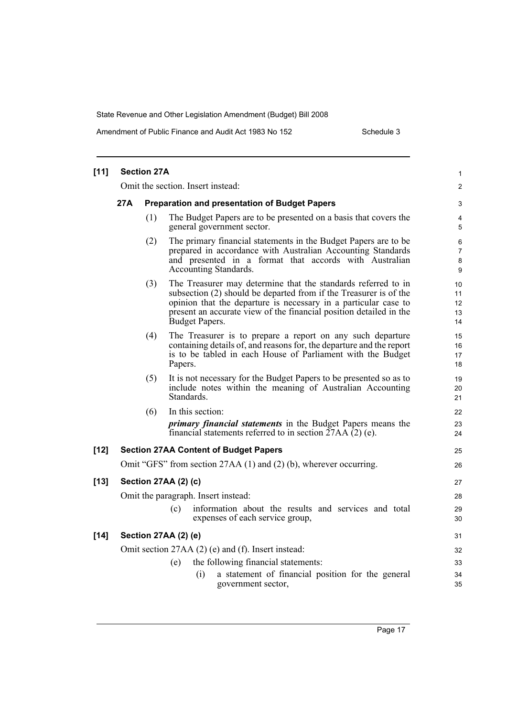Amendment of Public Finance and Audit Act 1983 No 152 Schedule 3

| $[11]$ |     | <b>Section 27A</b> |                                                                                                                                                                                                                                                                                               | $\mathbf{1}$               |
|--------|-----|--------------------|-----------------------------------------------------------------------------------------------------------------------------------------------------------------------------------------------------------------------------------------------------------------------------------------------|----------------------------|
|        |     |                    | Omit the section. Insert instead:                                                                                                                                                                                                                                                             | 2                          |
|        | 27A |                    | <b>Preparation and presentation of Budget Papers</b>                                                                                                                                                                                                                                          |                            |
|        |     | (1)                | The Budget Papers are to be presented on a basis that covers the<br>general government sector.                                                                                                                                                                                                | 4<br>5                     |
|        |     | (2)                | The primary financial statements in the Budget Papers are to be<br>prepared in accordance with Australian Accounting Standards<br>and presented in a format that accords with Australian<br>Accounting Standards.                                                                             | 6<br>7<br>8<br>9           |
|        |     | (3)                | The Treasurer may determine that the standards referred to in<br>subsection (2) should be departed from if the Treasurer is of the<br>opinion that the departure is necessary in a particular case to<br>present an accurate view of the financial position detailed in the<br>Budget Papers. | 10<br>11<br>12<br>13<br>14 |
|        |     | (4)                | The Treasurer is to prepare a report on any such departure<br>containing details of, and reasons for, the departure and the report<br>is to be tabled in each House of Parliament with the Budget<br>Papers.                                                                                  | 15<br>16<br>17<br>18       |
|        |     | (5)                | It is not necessary for the Budget Papers to be presented so as to<br>include notes within the meaning of Australian Accounting<br>Standards.                                                                                                                                                 | 19<br>20<br>21             |
|        |     | (6)                | In this section:                                                                                                                                                                                                                                                                              | 22                         |
|        |     |                    | <i>primary financial statements</i> in the Budget Papers means the<br>financial statements referred to in section $27AA(2)$ (e).                                                                                                                                                              | 23<br>24                   |
| $[12]$ |     |                    | <b>Section 27AA Content of Budget Papers</b>                                                                                                                                                                                                                                                  | 25                         |
|        |     |                    | Omit "GFS" from section 27AA (1) and (2) (b), wherever occurring.                                                                                                                                                                                                                             | 26                         |
| $[13]$ |     |                    | Section 27AA (2) (c)                                                                                                                                                                                                                                                                          | 27                         |
|        |     |                    | Omit the paragraph. Insert instead:                                                                                                                                                                                                                                                           | 28                         |
|        |     |                    | information about the results and services and total<br>(c)<br>expenses of each service group,                                                                                                                                                                                                | 29<br>30                   |
| $[14]$ |     |                    | Section 27AA (2) (e)                                                                                                                                                                                                                                                                          | 31                         |
|        |     |                    | Omit section 27AA (2) (e) and (f). Insert instead:                                                                                                                                                                                                                                            | 32                         |
|        |     |                    | the following financial statements:<br>(e)                                                                                                                                                                                                                                                    | 33                         |
|        |     |                    | a statement of financial position for the general<br>(i)<br>government sector,                                                                                                                                                                                                                | 34<br>35                   |
|        |     |                    |                                                                                                                                                                                                                                                                                               |                            |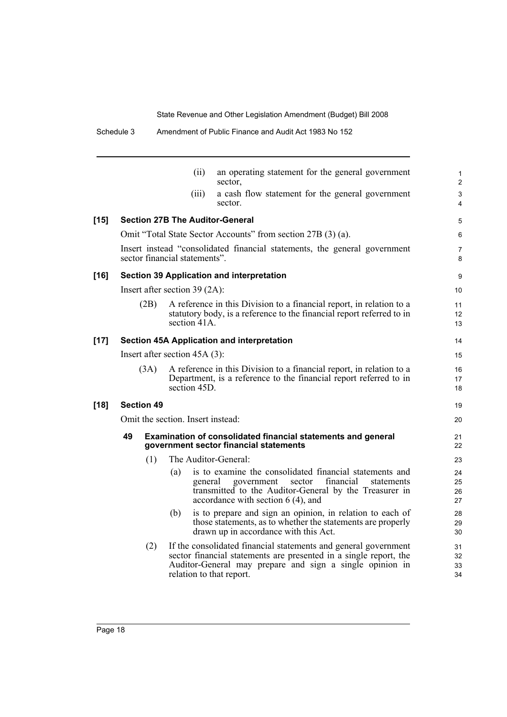19 20

|        |                                                                                                            |                   | (ii)                                   | an operating statement for the general government<br>sector,                                                                                                                                                 |  |  |
|--------|------------------------------------------------------------------------------------------------------------|-------------------|----------------------------------------|--------------------------------------------------------------------------------------------------------------------------------------------------------------------------------------------------------------|--|--|
|        |                                                                                                            |                   | (iii)                                  | a cash flow statement for the general government<br>sector.                                                                                                                                                  |  |  |
| $[15]$ |                                                                                                            |                   | <b>Section 27B The Auditor-General</b> |                                                                                                                                                                                                              |  |  |
|        |                                                                                                            |                   |                                        | Omit "Total State Sector Accounts" from section 27B (3) (a).                                                                                                                                                 |  |  |
|        | Insert instead "consolidated financial statements, the general government<br>sector financial statements". |                   |                                        |                                                                                                                                                                                                              |  |  |
| [16]   | <b>Section 39 Application and interpretation</b>                                                           |                   |                                        |                                                                                                                                                                                                              |  |  |
|        | Insert after section $39(2A)$ :                                                                            |                   |                                        |                                                                                                                                                                                                              |  |  |
|        |                                                                                                            | (2B)              | section 41A.                           | A reference in this Division to a financial report, in relation to a<br>statutory body, is a reference to the financial report referred to in                                                                |  |  |
| [17]   | <b>Section 45A Application and interpretation</b>                                                          |                   |                                        |                                                                                                                                                                                                              |  |  |
|        | Insert after section $45A(3)$ :                                                                            |                   |                                        |                                                                                                                                                                                                              |  |  |
|        | (3A)                                                                                                       |                   | section 45D                            | A reference in this Division to a financial report, in relation to a<br>Department, is a reference to the financial report referred to in                                                                    |  |  |
| [18]   |                                                                                                            | <b>Section 49</b> |                                        |                                                                                                                                                                                                              |  |  |
|        | Omit the section. Insert instead:                                                                          |                   |                                        |                                                                                                                                                                                                              |  |  |
|        | 49                                                                                                         |                   |                                        | <b>Examination of consolidated financial statements and general</b><br>government sector financial statements                                                                                                |  |  |
|        |                                                                                                            | (1)               | The Auditor-General:                   |                                                                                                                                                                                                              |  |  |
|        |                                                                                                            |                   | (a)<br>general                         | is to examine the consolidated financial statements and<br>sector<br>financial<br>government<br>statements<br>transmitted to the Auditor-General by the Treasurer in<br>accordance with section $6(4)$ , and |  |  |
|        |                                                                                                            |                   | (b)                                    | is to prepare and sign an opinion, in relation to each of<br>those statements, as to whether the statements are properly<br>drawn up in accordance with this Act.                                            |  |  |
|        |                                                                                                            | (2)               |                                        | If the consolidated financial statements and general government<br>sector financial statements are presented in a single report, the                                                                         |  |  |

Auditor-General may prepare and sign a single opinion in

relation to that report.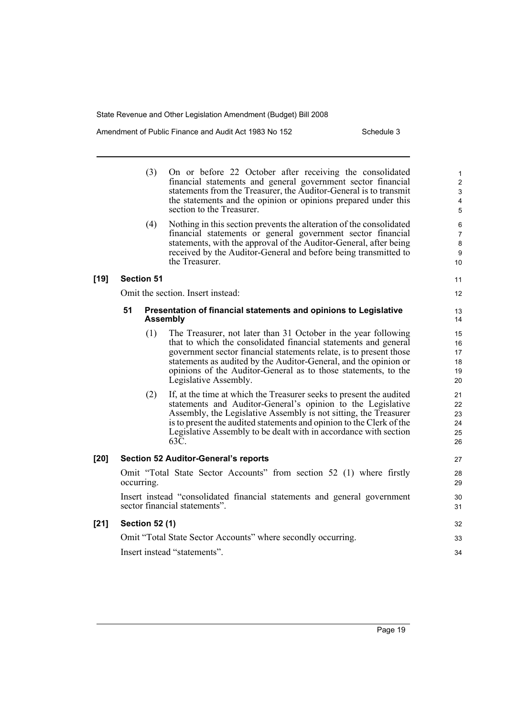Amendment of Public Finance and Audit Act 1983 No 152 Schedule 3

|        |                                                                                                           | (3)                   | On or before 22 October after receiving the consolidated<br>financial statements and general government sector financial<br>statements from the Treasurer, the Auditor-General is to transmit<br>the statements and the opinion or opinions prepared under this<br>section to the Treasurer.                                                                           | $\mathbf{1}$<br>$\overline{c}$<br>$\ensuremath{\mathsf{3}}$<br>$\overline{4}$<br>$\overline{5}$ |  |
|--------|-----------------------------------------------------------------------------------------------------------|-----------------------|------------------------------------------------------------------------------------------------------------------------------------------------------------------------------------------------------------------------------------------------------------------------------------------------------------------------------------------------------------------------|-------------------------------------------------------------------------------------------------|--|
|        |                                                                                                           | (4)                   | Nothing in this section prevents the alteration of the consolidated<br>financial statements or general government sector financial<br>statements, with the approval of the Auditor-General, after being<br>received by the Auditor-General and before being transmitted to<br>the Treasurer.                                                                           | $\,6\,$<br>$\overline{7}$<br>$\bf 8$<br>$\boldsymbol{9}$<br>10                                  |  |
| $[19]$ |                                                                                                           | <b>Section 51</b>     |                                                                                                                                                                                                                                                                                                                                                                        | 11                                                                                              |  |
|        |                                                                                                           |                       | Omit the section. Insert instead:                                                                                                                                                                                                                                                                                                                                      | 12                                                                                              |  |
|        | 51                                                                                                        |                       | Presentation of financial statements and opinions to Legislative<br><b>Assembly</b>                                                                                                                                                                                                                                                                                    | 13<br>14                                                                                        |  |
|        |                                                                                                           | (1)                   | The Treasurer, not later than 31 October in the year following<br>that to which the consolidated financial statements and general<br>government sector financial statements relate, is to present those<br>statements as audited by the Auditor-General, and the opinion or<br>opinions of the Auditor-General as to those statements, to the<br>Legislative Assembly. | 15<br>16<br>17<br>18<br>19<br>20                                                                |  |
|        |                                                                                                           | (2)                   | If, at the time at which the Treasurer seeks to present the audited<br>statements and Auditor-General's opinion to the Legislative<br>Assembly, the Legislative Assembly is not sitting, the Treasurer<br>is to present the audited statements and opinion to the Clerk of the<br>Legislative Assembly to be dealt with in accordance with section<br>63C.             | 21<br>22<br>23<br>24<br>25<br>26                                                                |  |
| $[20]$ |                                                                                                           |                       | <b>Section 52 Auditor-General's reports</b>                                                                                                                                                                                                                                                                                                                            | 27                                                                                              |  |
|        | Omit "Total State Sector Accounts" from section 52 (1) where firstly<br>occurring.                        |                       |                                                                                                                                                                                                                                                                                                                                                                        |                                                                                                 |  |
|        | Insert instead "consolidated financial statements and general government<br>sector financial statements". |                       |                                                                                                                                                                                                                                                                                                                                                                        |                                                                                                 |  |
| $[21]$ |                                                                                                           | <b>Section 52 (1)</b> |                                                                                                                                                                                                                                                                                                                                                                        | 32                                                                                              |  |
|        | Omit "Total State Sector Accounts" where secondly occurring.                                              |                       |                                                                                                                                                                                                                                                                                                                                                                        |                                                                                                 |  |
|        | Insert instead "statements".                                                                              |                       |                                                                                                                                                                                                                                                                                                                                                                        |                                                                                                 |  |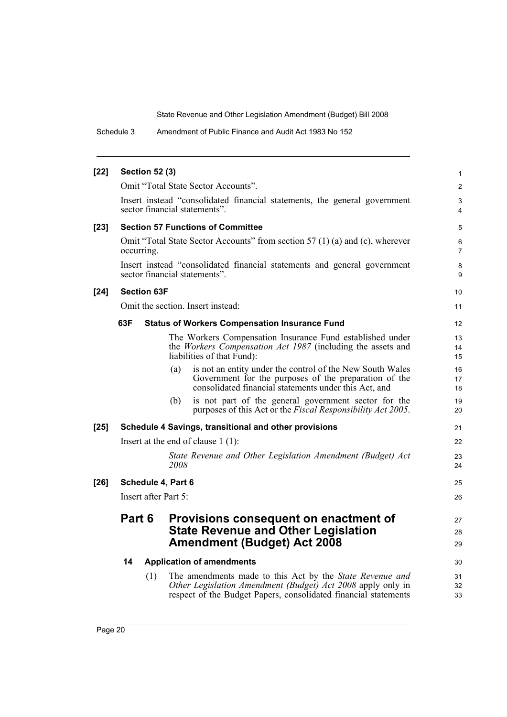Schedule 3 Amendment of Public Finance and Audit Act 1983 No 152

| $[22]$ | <b>Section 52 (3)</b>                                                                                                                      |                                                                                                                                                                                            | $\mathbf{1}$        |  |  |
|--------|--------------------------------------------------------------------------------------------------------------------------------------------|--------------------------------------------------------------------------------------------------------------------------------------------------------------------------------------------|---------------------|--|--|
|        |                                                                                                                                            | Omit "Total State Sector Accounts".                                                                                                                                                        | 2                   |  |  |
|        |                                                                                                                                            | Insert instead "consolidated financial statements, the general government<br>sector financial statements".                                                                                 | 3<br>4              |  |  |
| $[23]$ |                                                                                                                                            | <b>Section 57 Functions of Committee</b>                                                                                                                                                   | 5                   |  |  |
|        | occurring.                                                                                                                                 | Omit "Total State Sector Accounts" from section 57 (1) (a) and (c), wherever                                                                                                               | 6<br>$\overline{7}$ |  |  |
|        |                                                                                                                                            | Insert instead "consolidated financial statements and general government<br>sector financial statements".                                                                                  | 8<br>9              |  |  |
| $[24]$ | <b>Section 63F</b>                                                                                                                         |                                                                                                                                                                                            | 10 <sup>1</sup>     |  |  |
|        |                                                                                                                                            | Omit the section. Insert instead:                                                                                                                                                          | 11                  |  |  |
|        | 63F                                                                                                                                        | <b>Status of Workers Compensation Insurance Fund</b>                                                                                                                                       | 12                  |  |  |
|        |                                                                                                                                            | The Workers Compensation Insurance Fund established under<br>the <i>Workers Compensation Act 1987</i> (including the assets and<br>liabilities of that Fund):                              | 13<br>14<br>15      |  |  |
|        |                                                                                                                                            | is not an entity under the control of the New South Wales<br>(a)<br>Government for the purposes of the preparation of the<br>consolidated financial statements under this Act, and         | 16<br>17<br>18      |  |  |
|        |                                                                                                                                            | is not part of the general government sector for the<br>(b)<br>purposes of this Act or the <i>Fiscal Responsibility Act 2005</i> .                                                         | 19<br>20            |  |  |
| $[25]$ |                                                                                                                                            | Schedule 4 Savings, transitional and other provisions                                                                                                                                      | 21                  |  |  |
|        |                                                                                                                                            | Insert at the end of clause $1(1)$ :                                                                                                                                                       | 22                  |  |  |
|        |                                                                                                                                            | State Revenue and Other Legislation Amendment (Budget) Act<br>2008                                                                                                                         | 23<br>24            |  |  |
| $[26]$ | Schedule 4, Part 6                                                                                                                         |                                                                                                                                                                                            | 25                  |  |  |
|        | Insert after Part 5:                                                                                                                       |                                                                                                                                                                                            |                     |  |  |
|        | Part 6<br><b>Provisions consequent on enactment of</b><br><b>State Revenue and Other Legislation</b><br><b>Amendment (Budget) Act 2008</b> |                                                                                                                                                                                            |                     |  |  |
|        | 14                                                                                                                                         | <b>Application of amendments</b>                                                                                                                                                           | 30                  |  |  |
|        | (1)                                                                                                                                        | The amendments made to this Act by the State Revenue and<br>Other Legislation Amendment (Budget) Act 2008 apply only in<br>respect of the Budget Papers, consolidated financial statements | 31<br>32<br>33      |  |  |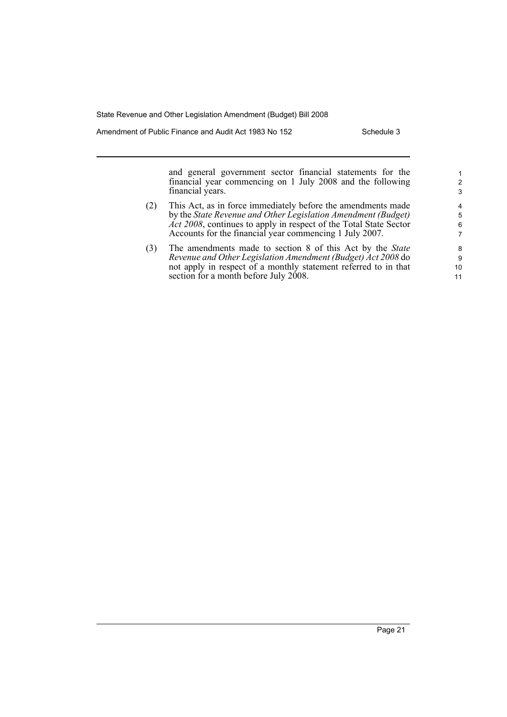Amendment of Public Finance and Audit Act 1983 No 152 Schedule 3

and general government sector financial statements for the financial year commencing on 1 July 2008 and the following financial years.

- (2) This Act, as in force immediately before the amendments made by the *State Revenue and Other Legislation Amendment (Budget) Act 2008*, continues to apply in respect of the Total State Sector Accounts for the financial year commencing 1 July 2007.
- (3) The amendments made to section 8 of this Act by the *State Revenue and Other Legislation Amendment (Budget) Act 2008* do not apply in respect of a monthly statement referred to in that section for a month before July 2008.